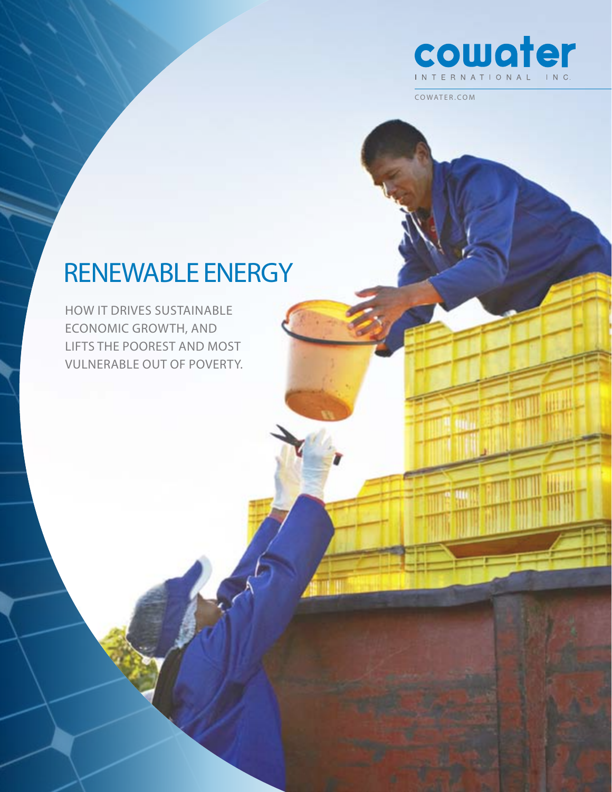

# Renewable Energy

How it drives sustainable economic growth, and lifts the poorest and most vulnerable out of poverty.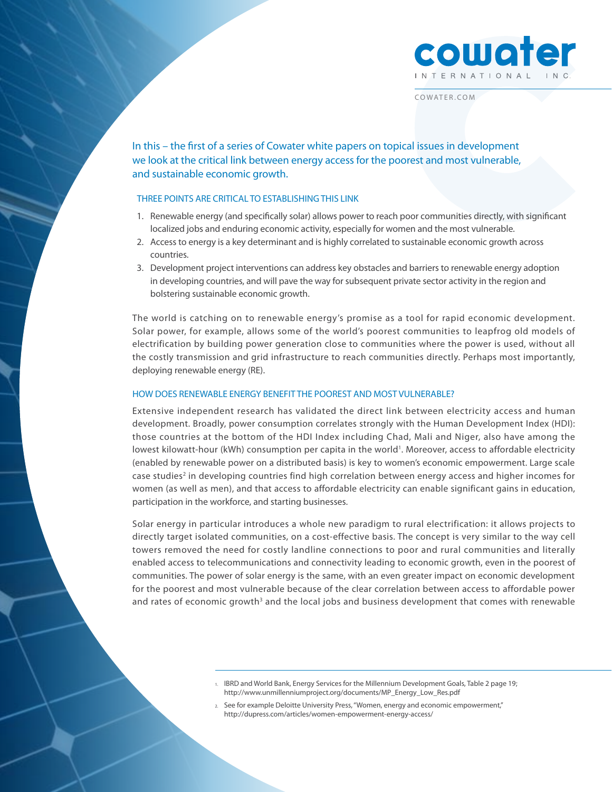

In this – the first of a series of Cowater white papers on topical issues in development we look at the critical link between energy access for the poorest and most vulnerable, and sustainable economic growth.

# three points are critical to establishing this link

- 1. Renewable energy (and specifically solar) allows power to reach poor communities directly, with significant localized jobs and enduring economic activity, especially for women and the most vulnerable.
- 2. Access to energy is a key determinant and is highly correlated to sustainable economic growth across countries.
- 3. Development project interventions can address key obstacles and barriers to renewable energy adoption in developing countries, and will pave the way for subsequent private sector activity in the region and bolstering sustainable economic growth.

The world is catching on to renewable energy's promise as a tool for rapid economic development. Solar power, for example, allows some of the world's poorest communities to leapfrog old models of electrification by building power generation close to communities where the power is used, without all the costly transmission and grid infrastructure to reach communities directly. Perhaps most importantly, deploying renewable energy (RE).

### How does Renewable Energy benefit the poorest and most vulnerable?

Extensive independent research has validated the direct link between electricity access and human development. Broadly, power consumption correlates strongly with the Human Development Index (HDI): those countries at the bottom of the HDI Index including Chad, Mali and Niger, also have among the lowest kilowatt-hour (kWh) consumption per capita in the world<sup>1</sup>. Moreover, access to affordable electricity (enabled by renewable power on a distributed basis) is key to women's economic empowerment. Large scale case studies<sup>2</sup> in developing countries find high correlation between energy access and higher incomes for women (as well as men), and that access to affordable electricity can enable significant gains in education, participation in the workforce, and starting businesses.

Solar energy in particular introduces a whole new paradigm to rural electrification: it allows projects to directly target isolated communities, on a cost-effective basis. The concept is very similar to the way cell towers removed the need for costly landline connections to poor and rural communities and literally enabled access to telecommunications and connectivity leading to economic growth, even in the poorest of communities. The power of solar energy is the same, with an even greater impact on economic development for the poorest and most vulnerable because of the clear correlation between access to affordable power and rates of economic growth<sup>3</sup> and the local jobs and business development that comes with renewable

> 1. IBRD and World Bank, Energy Services for the Millennium Development Goals, Table 2 page 19; http://www.unmillenniumproject.org/documents/MP\_Energy\_Low\_Res.pdf

2. See for example Deloitte University Press, "Women, energy and economic empowerment," http://dupress.com/articles/women-empowerment-energy-access/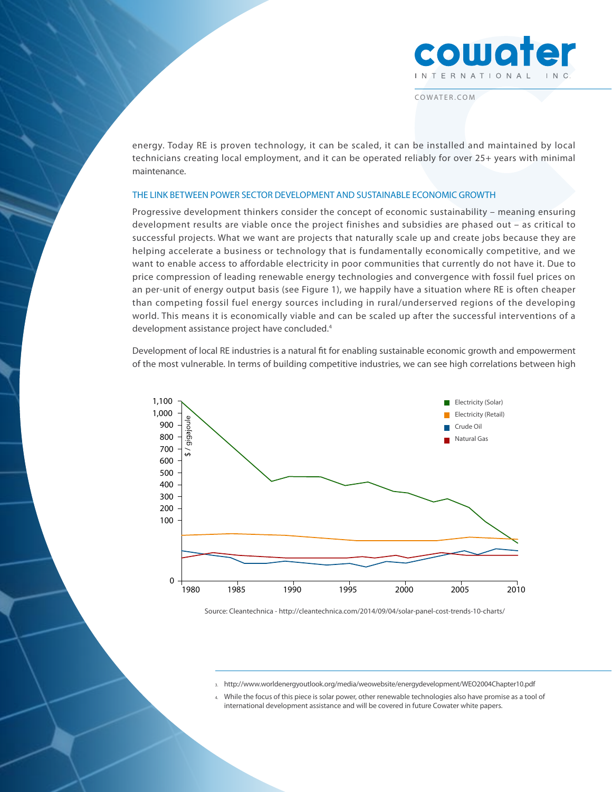

energy. Today RE is proven technology, it can be scaled, it can be installed and maintained by local technicians creating local employment, and it can be operated reliably for over 25+ years with minimal maintenance.

#### The link between power sector development and sustainable economic growth

Progressive development thinkers consider the concept of economic sustainability – meaning ensuring development results are viable once the project finishes and subsidies are phased out – as critical to successful projects. What we want are projects that naturally scale up and create jobs because they are helping accelerate a business or technology that is fundamentally economically competitive, and we want to enable access to affordable electricity in poor communities that currently do not have it. Due to price compression of leading renewable energy technologies and convergence with fossil fuel prices on an per-unit of energy output basis (see Figure 1), we happily have a situation where RE is often cheaper than competing fossil fuel energy sources including in rural/underserved regions of the developing world. This means it is economically viable and can be scaled up after the successful interventions of a development assistance project have concluded.<sup>4</sup>

Development of local RE industries is a natural fit for enabling sustainable economic growth and empowerment of the most vulnerable. In terms of building competitive industries, we can see high correlations between high



Source: Cleantechnica - http://cleantechnica.com/2014/09/04/solar-panel-cost-trends-10-charts/

- 3. http://www.worldenergyoutlook.org/media/weowebsite/energydevelopment/WEO2004Chapter10.pdf
- While the focus of this piece is solar power, other renewable technologies also have promise as a tool of international development assistance and will be covered in future Cowater white papers.